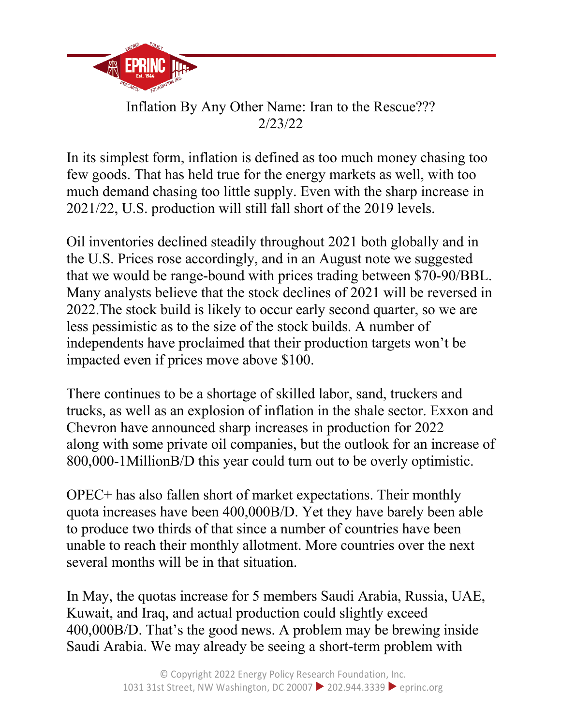

## Inflation By Any Other Name: Iran to the Rescue??? 2/23/22

In its simplest form, inflation is defined as too much money chasing too few goods. That has held true for the energy markets as well, with too much demand chasing too little supply. Even with the sharp increase in 2021/22, U.S. production will still fall short of the 2019 levels.

Oil inventories declined steadily throughout 2021 both globally and in the U.S. Prices rose accordingly, and in an August note we suggested that we would be range-bound with prices trading between \$70-90/BBL. Many analysts believe that the stock declines of 2021 will be reversed in 2022.The stock build is likely to occur early second quarter, so we are less pessimistic as to the size of the stock builds. A number of independents have proclaimed that their production targets won't be impacted even if prices move above \$100.

There continues to be a shortage of skilled labor, sand, truckers and trucks, as well as an explosion of inflation in the shale sector. Exxon and Chevron have announced sharp increases in production for 2022 along with some private oil companies, but the outlook for an increase of 800,000-1MillionB/D this year could turn out to be overly optimistic.

OPEC+ has also fallen short of market expectations. Their monthly quota increases have been 400,000B/D. Yet they have barely been able to produce two thirds of that since a number of countries have been unable to reach their monthly allotment. More countries over the next several months will be in that situation.

In May, the quotas increase for 5 members Saudi Arabia, Russia, UAE, Kuwait, and Iraq, and actual production could slightly exceed 400,000B/D. That's the good news. A problem may be brewing inside Saudi Arabia. We may already be seeing a short-term problem with